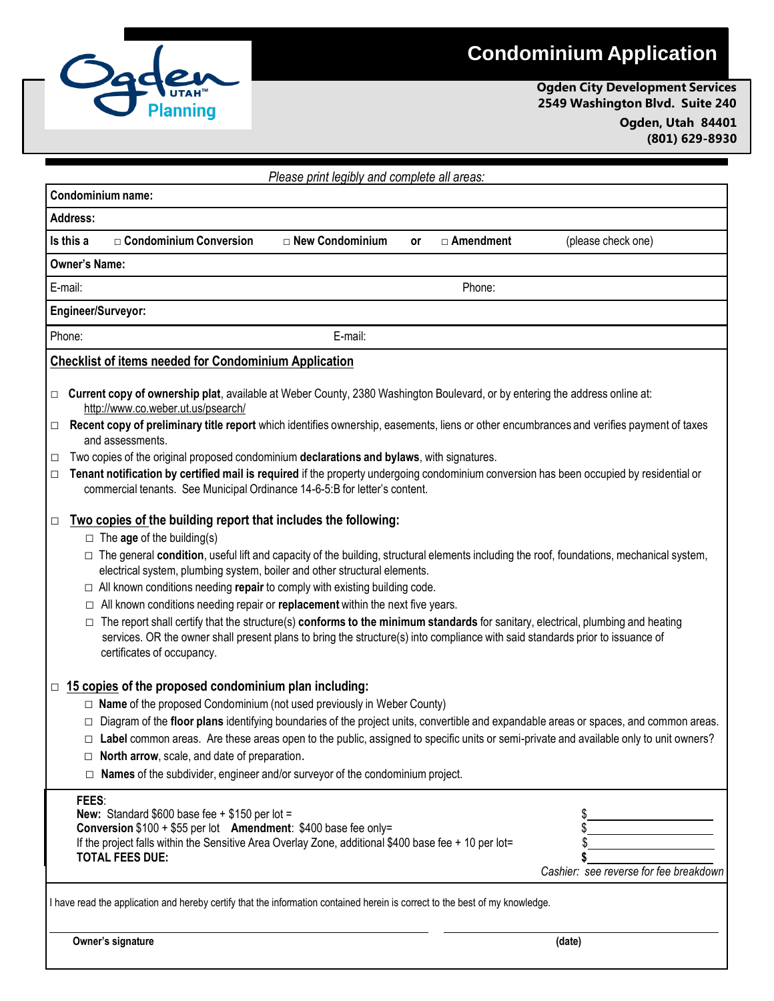## **Condominium Application**



**Ogden City Development Services 2549 Washington Blvd. Suite 240 Ogden, Utah 84401 (801) 629-8930**

| Please print legibly and complete all areas: |                                                                                                                                                                                                                                                                                                                                                                                                                                                                                                                                                                                                                                                                         |                   |    |             |                                                                                                                                                                                                                                                                                  |
|----------------------------------------------|-------------------------------------------------------------------------------------------------------------------------------------------------------------------------------------------------------------------------------------------------------------------------------------------------------------------------------------------------------------------------------------------------------------------------------------------------------------------------------------------------------------------------------------------------------------------------------------------------------------------------------------------------------------------------|-------------------|----|-------------|----------------------------------------------------------------------------------------------------------------------------------------------------------------------------------------------------------------------------------------------------------------------------------|
| Condominium name:                            |                                                                                                                                                                                                                                                                                                                                                                                                                                                                                                                                                                                                                                                                         |                   |    |             |                                                                                                                                                                                                                                                                                  |
| <b>Address:</b>                              |                                                                                                                                                                                                                                                                                                                                                                                                                                                                                                                                                                                                                                                                         |                   |    |             |                                                                                                                                                                                                                                                                                  |
| Is this a                                    | □ Condominium Conversion                                                                                                                                                                                                                                                                                                                                                                                                                                                                                                                                                                                                                                                | □ New Condominium | or | □ Amendment | (please check one)                                                                                                                                                                                                                                                               |
| <b>Owner's Name:</b>                         |                                                                                                                                                                                                                                                                                                                                                                                                                                                                                                                                                                                                                                                                         |                   |    |             |                                                                                                                                                                                                                                                                                  |
| E-mail:                                      |                                                                                                                                                                                                                                                                                                                                                                                                                                                                                                                                                                                                                                                                         |                   |    | Phone:      |                                                                                                                                                                                                                                                                                  |
| Engineer/Surveyor:                           |                                                                                                                                                                                                                                                                                                                                                                                                                                                                                                                                                                                                                                                                         |                   |    |             |                                                                                                                                                                                                                                                                                  |
| Phone:                                       |                                                                                                                                                                                                                                                                                                                                                                                                                                                                                                                                                                                                                                                                         | E-mail:           |    |             |                                                                                                                                                                                                                                                                                  |
|                                              | Checklist of items needed for Condominium Application                                                                                                                                                                                                                                                                                                                                                                                                                                                                                                                                                                                                                   |                   |    |             |                                                                                                                                                                                                                                                                                  |
| $\Box$<br>0                                  | Current copy of ownership plat, available at Weber County, 2380 Washington Boulevard, or by entering the address online at:<br>http://www.co.weber.ut.us/psearch/                                                                                                                                                                                                                                                                                                                                                                                                                                                                                                       |                   |    |             | Recent copy of preliminary title report which identifies ownership, easements, liens or other encumbrances and verifies payment of taxes                                                                                                                                         |
|                                              | and assessments.                                                                                                                                                                                                                                                                                                                                                                                                                                                                                                                                                                                                                                                        |                   |    |             |                                                                                                                                                                                                                                                                                  |
| □<br>$\Box$                                  | Two copies of the original proposed condominium declarations and bylaws, with signatures.<br>commercial tenants. See Municipal Ordinance 14-6-5:B for letter's content.                                                                                                                                                                                                                                                                                                                                                                                                                                                                                                 |                   |    |             | Tenant notification by certified mail is required if the property undergoing condominium conversion has been occupied by residential or                                                                                                                                          |
| $\Box$                                       | Two copies of the building report that includes the following:<br>$\Box$ The age of the building(s)<br>electrical system, plumbing system, boiler and other structural elements.<br>$\Box$ All known conditions needing repair to comply with existing building code.<br>$\Box$ All known conditions needing repair or replacement within the next five years.<br>$\Box$ The report shall certify that the structure(s) conforms to the minimum standards for sanitary, electrical, plumbing and heating<br>services. OR the owner shall present plans to bring the structure(s) into compliance with said standards prior to issuance of<br>certificates of occupancy. |                   |    |             | □ The general condition, useful lift and capacity of the building, structural elements including the roof, foundations, mechanical system,                                                                                                                                       |
| $\Box$<br>$\Box$                             | 15 copies of the proposed condominium plan including:<br>$\Box$ Name of the proposed Condominium (not used previously in Weber County)<br>$\Box$ North arrow, scale, and date of preparation.<br>$\Box$ Names of the subdivider, engineer and/or surveyor of the condominium project.                                                                                                                                                                                                                                                                                                                                                                                   |                   |    |             | □ Diagram of the floor plans identifying boundaries of the project units, convertible and expandable areas or spaces, and common areas.<br>Label common areas. Are these areas open to the public, assigned to specific units or semi-private and available only to unit owners? |
| FEES:                                        | New: Standard $$600$ base fee + $$150$ per lot =<br>Conversion \$100 + \$55 per lot Amendment: \$400 base fee only=<br>If the project falls within the Sensitive Area Overlay Zone, additional \$400 base fee + 10 per lot=<br><b>TOTAL FEES DUE:</b>                                                                                                                                                                                                                                                                                                                                                                                                                   |                   |    |             | Cashier: see reverse for fee breakdown                                                                                                                                                                                                                                           |
|                                              | I have read the application and hereby certify that the information contained herein is correct to the best of my knowledge.                                                                                                                                                                                                                                                                                                                                                                                                                                                                                                                                            |                   |    |             |                                                                                                                                                                                                                                                                                  |
|                                              | Owner's signature                                                                                                                                                                                                                                                                                                                                                                                                                                                                                                                                                                                                                                                       |                   |    |             | (date)                                                                                                                                                                                                                                                                           |